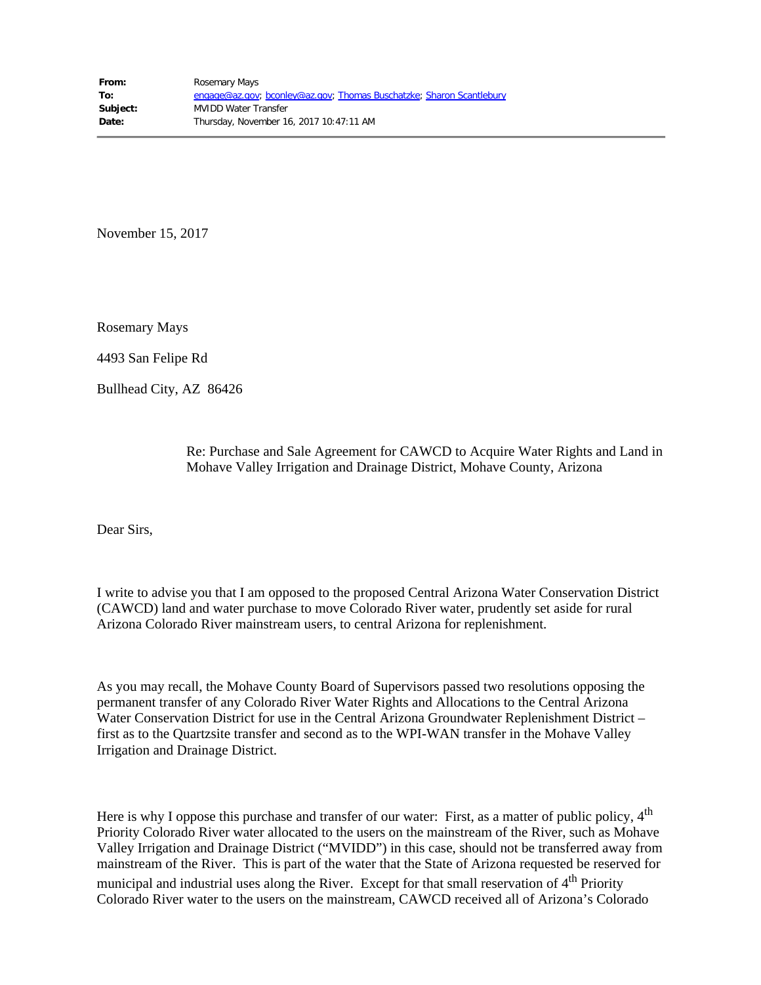November 15, 2017

Rosemary Mays

4493 San Felipe Rd

Bullhead City, AZ 86426

Re: Purchase and Sale Agreement for CAWCD to Acquire Water Rights and Land in Mohave Valley Irrigation and Drainage District, Mohave County, Arizona

Dear Sirs,

I write to advise you that I am opposed to the proposed Central Arizona Water Conservation District (CAWCD) land and water purchase to move Colorado River water, prudently set aside for rural Arizona Colorado River mainstream users, to central Arizona for replenishment.

As you may recall, the Mohave County Board of Supervisors passed two resolutions opposing the permanent transfer of any Colorado River Water Rights and Allocations to the Central Arizona Water Conservation District for use in the Central Arizona Groundwater Replenishment District – first as to the Quartzsite transfer and second as to the WPI-WAN transfer in the Mohave Valley Irrigation and Drainage District.

Here is why I oppose this purchase and transfer of our water: First, as a matter of public policy, 4<sup>th</sup> Priority Colorado River water allocated to the users on the mainstream of the River, such as Mohave Valley Irrigation and Drainage District ("MVIDD") in this case, should not be transferred away from mainstream of the River. This is part of the water that the State of Arizona requested be reserved for municipal and industrial uses along the River. Except for that small reservation of 4<sup>th</sup> Priority Colorado River water to the users on the mainstream, CAWCD received all of Arizona's Colorado